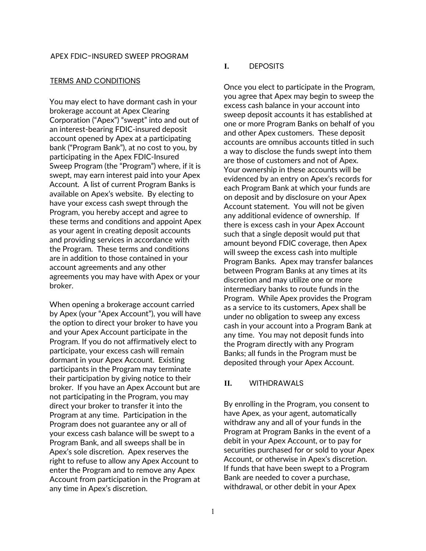#### TERMS AND CONDITIONS

You may elect to have dormant cash in your brokerage account at Apex Clearing Corporation ("Apex") "swept" into and out of an interest-bearing FDIC-insured deposit account opened by Apex at a participating bank ("Program Bank"), at no cost to you, by participating in the Apex FDIC-Insured Sweep Program (the "Program") where, if it is swept, may earn interest paid into your Apex Account. A list of current Program Banks is available on Apex's website. By electing to have your excess cash swept through the Program, you hereby accept and agree to these terms and conditions and appoint Apex as your agent in creating deposit accounts and providing services in accordance with the Program. These terms and conditions are in addition to those contained in your account agreements and any other agreements you may have with Apex or your broker.

When opening a brokerage account carried by Apex (your "Apex Account"), you will have the option to direct your broker to have you and your Apex Account participate in the Program. If you do not affirmatively elect to participate, your excess cash will remain dormant in your Apex Account. Existing participants in the Program may terminate their participation by giving notice to their broker. If you have an Apex Account but are not participating in the Program, you may direct your broker to transfer it into the Program at any time. Participation in the Program does not guarantee any or all of your excess cash balance will be swept to a Program Bank, and all sweeps shall be in Apex's sole discretion. Apex reserves the right to refuse to allow any Apex Account to enter the Program and to remove any Apex Account from participation in the Program at any time in Apex's discretion.

#### **I.** DEPOSITS

Once you elect to participate in the Program, you agree that Apex may begin to sweep the excess cash balance in your account into sweep deposit accounts it has established at one or more Program Banks on behalf of you and other Apex customers. These deposit accounts are omnibus accounts titled in such a way to disclose the funds swept into them are those of customers and not of Apex. Your ownership in these accounts will be evidenced by an entry on Apex's records for each Program Bank at which your funds are on deposit and by disclosure on your Apex Account statement. You will not be given any additional evidence of ownership. If there is excess cash in your Apex Account such that a single deposit would put that amount beyond FDIC coverage, then Apex will sweep the excess cash into multiple Program Banks. Apex may transfer balances between Program Banks at any times at its discretion and may utilize one or more intermediary banks to route funds in the Program. While Apex provides the Program as a service to its customers, Apex shall be under no obligation to sweep any excess cash in your account into a Program Bank at any time. You may not deposit funds into the Program directly with any Program Banks; all funds in the Program must be deposited through your Apex Account.

#### **II.** WITHDRAWALS

By enrolling in the Program, you consent to have Apex, as your agent, automatically withdraw any and all of your funds in the Program at Program Banks in the event of a debit in your Apex Account, or to pay for securities purchased for or sold to your Apex Account, or otherwise in Apex's discretion. If funds that have been swept to a Program Bank are needed to cover a purchase, withdrawal, or other debit in your Apex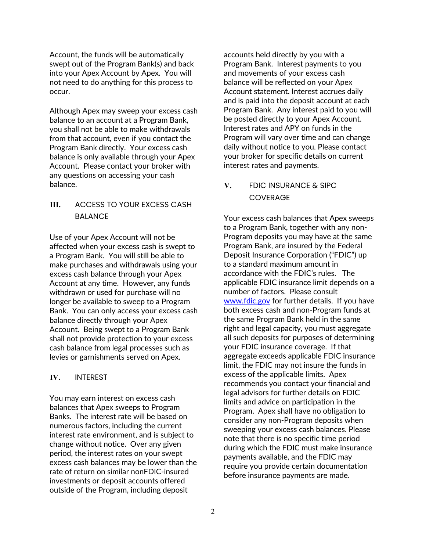Account, the funds will be automatically swept out of the Program Bank(s) and back into your Apex Account by Apex. You will not need to do anything for this process to occur.

Although Apex may sweep your excess cash balance to an account at a Program Bank, you shall not be able to make withdrawals from that account, even if you contact the Program Bank directly. Your excess cash balance is only available through your Apex Account. Please contact your broker with any questions on accessing your cash balance.

## **III.** ACCESS TO YOUR EXCESS CASH BALANCE

Use of your Apex Account will not be affected when your excess cash is swept to a Program Bank. You will still be able to make purchases and withdrawals using your excess cash balance through your Apex Account at any time. However, any funds withdrawn or used for purchase will no longer be available to sweep to a Program Bank. You can only access your excess cash balance directly through your Apex Account. Being swept to a Program Bank shall not provide protection to your excess cash balance from legal processes such as levies or garnishments served on Apex.

### **IV.** INTEREST

You may earn interest on excess cash balances that Apex sweeps to Program Banks. The interest rate will be based on numerous factors, including the current interest rate environment, and is subject to change without notice. Over any given period, the interest rates on your swept excess cash balances may be lower than the rate of return on similar nonFDIC-insured investments or deposit accounts offered outside of the Program, including deposit

accounts held directly by you with a Program Bank. Interest payments to you and movements of your excess cash balance will be reflected on your Apex Account statement. Interest accrues daily and is paid into the deposit account at each Program Bank. Any interest paid to you will be posted directly to your Apex Account. Interest rates and APY on funds in the Program will vary over time and can change daily without notice to you. Please contact your broker for specific details on current interest rates and payments.

# **V.** FDIC INSURANCE & SIPC **COVERAGE**

Your excess cash balances that Apex sweeps to a Program Bank, together with any non-Program deposits you may have at the same Program Bank, are insured by the Federal Deposit Insurance Corporation ("FDIC") up to a standard maximum amount in accordance with the FDIC's rules. The applicable FDIC insurance limit depends on a number of factors. Please consult www.fdic.gov for further details. If you have both excess cash and non-Program funds at the same Program Bank held in the same right and legal capacity, you must aggregate all such deposits for purposes of determining your FDIC insurance coverage. If that aggregate exceeds applicable FDIC insurance limit, the FDIC may not insure the funds in excess of the applicable limits. Apex recommends you contact your financial and legal advisors for further details on FDIC limits and advice on participation in the Program. Apex shall have no obligation to consider any non-Program deposits when sweeping your excess cash balances. Please note that there is no specific time period during which the FDIC must make insurance payments available, and the FDIC may require you provide certain documentation before insurance payments are made.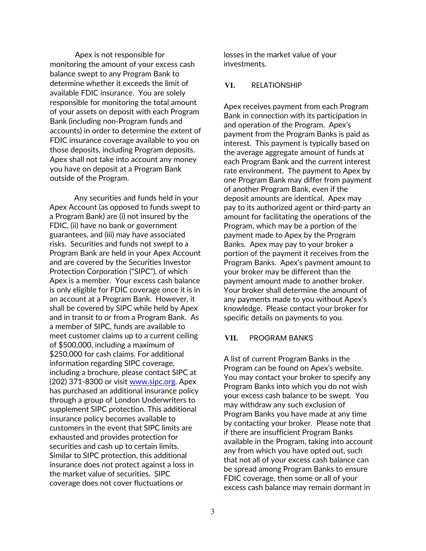Apex is not responsible for monitoring the amount of your excess cash balance swept to any Program Bank to determine whether it exceeds the limit of available FDIC insurance. You are solely responsible for monitoring the total amount of your assets on deposit with each Program Bank (including non-Program funds and accounts) in order to determine the extent of FDIC insurance coverage available to you on those deposits, including Program deposits. Apex shall not take into account any money you have on deposit at a Program Bank outside of the Program.

Any securities and funds held in your Apex Account (as opposed to funds swept to a Program Bank) are (i) not insured by the FDIC, (ii) have no bank or government guarantees, and (iii) may have associated risks. Securities and funds not swept to a Program Bank are held in your Apex Account and are covered by the Securities Investor Protection Corporation ("SIPC"), of which Apex is a member. Your excess cash balance is only eligible for FDIC coverage once it is in an account at a Program Bank. However, it shall be covered by SIPC while held by Apex and in transit to or from a Program Bank. As a member of SIPC, funds are available to meet customer claims up to a current ceiling of \$500,000, including a maximum of \$250,000 for cash claims. For additional information regarding SIPC coverage, including a brochure, please contact SIPC at (202) 371-8300 or visit www.sipc.org. Apex has purchased an additional insurance policy through a group of London Underwriters to supplement SIPC protection. This additional insurance policy becomes available to customers in the event that SIPC limits are exhausted and provides protection for securities and cash up to certain limits. Similar to SIPC protection, this additional insurance does not protect against a loss in the market value of securities. SIPC coverage does not cover fluctuations or

losses in the market value of your investments.

### **VI.** RELATIONSHIP

Apex receives payment from each Program Bank in connection with its participation in and operation of the Program. Apex's payment from the Program Banks is paid as interest. This payment is typically based on the average aggregate amount of funds at each Program Bank and the current interest rate environment. The payment to Apex by one Program Bank may differ from payment of another Program Bank, even if the deposit amounts are identical. Apex may pay to its authorized agent or third-party an amount for facilitating the operations of the Program, which may be a portion of the payment made to Apex by the Program Banks. Apex may pay to your broker a portion of the payment it receives from the Program Banks. Apex's payment amount to your broker may be different than the payment amount made to another broker. Your broker shall determine the amount of any payments made to you without Apex's knowledge. Please contact your broker for specific details on payments to you.

#### **VII.** PROGRAM BANKS

A list of current Program Banks in the Program can be found on Apex's website. You may contact your broker to specify any Program Banks into which you do not wish your excess cash balance to be swept. You may withdraw any such exclusion of Program Banks you have made at any time by contacting your broker. Please note that if there are insufficient Program Banks available in the Program, taking into account any from which you have opted out, such that not all of your excess cash balance can be spread among Program Banks to ensure FDIC coverage, then some or all of your excess cash balance may remain dormant in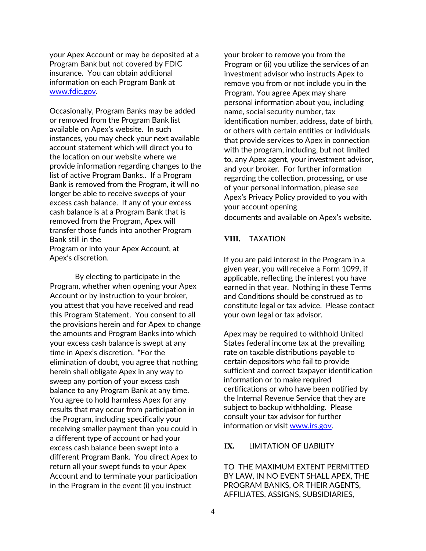your Apex Account or may be deposited at a Program Bank but not covered by FDIC insurance. You can obtain additional information on each Program Bank at www.fdic.gov.

Occasionally, Program Banks may be added or removed from the Program Bank list available on Apex's website. In such instances, you may check your next available account statement which will direct you to the location on our website where we provide information regarding changes to the list of active Program Banks.. If a Program Bank is removed from the Program, it will no longer be able to receive sweeps of your excess cash balance. If any of your excess cash balance is at a Program Bank that is removed from the Program, Apex will transfer those funds into another Program Bank still in the

Program or into your Apex Account, at Apex's discretion.

By electing to participate in the Program, whether when opening your Apex Account or by instruction to your broker, you attest that you have received and read this Program Statement. You consent to all the provisions herein and for Apex to change the amounts and Program Banks into which your excess cash balance is swept at any time in Apex's discretion. "For the elimination of doubt, you agree that nothing herein shall obligate Apex in any way to sweep any portion of your excess cash balance to any Program Bank at any time. You agree to hold harmless Apex for any results that may occur from participation in the Program, including specifically your receiving smaller payment than you could in a different type of account or had your excess cash balance been swept into a different Program Bank. You direct Apex to return all your swept funds to your Apex Account and to terminate your participation in the Program in the event (i) you instruct

your broker to remove you from the Program or (ii) you utilize the services of an investment advisor who instructs Apex to remove you from or not include you in the Program. You agree Apex may share personal information about you, including name, social security number, tax identification number, address, date of birth, or others with certain entities or individuals that provide services to Apex in connection with the program, including, but not limited to, any Apex agent, your investment advisor, and your broker. For further information regarding the collection, processing, or use of your personal information, please see Apex's Privacy Policy provided to you with your account opening documents and available on Apex's website.

### **VIII.** TAXATION

If you are paid interest in the Program in a given year, you will receive a Form 1099, if applicable, reflecting the interest you have earned in that year. Nothing in these Terms and Conditions should be construed as to constitute legal or tax advice. Please contact your own legal or tax advisor.

Apex may be required to withhold United States federal income tax at the prevailing rate on taxable distributions payable to certain depositors who fail to provide sufficient and correct taxpayer identification information or to make required certifications or who have been notified by the Internal Revenue Service that they are subject to backup withholding. Please consult your tax advisor for further information or visit www.irs.gov.

#### **IX.** LIMITATION OF LIABILITY

TO THE MAXIMUM EXTENT PERMITTED BY LAW, IN NO EVENT SHALL APEX, THE PROGRAM BANKS, OR THEIR AGENTS, AFFILIATES, ASSIGNS, SUBSIDIARIES,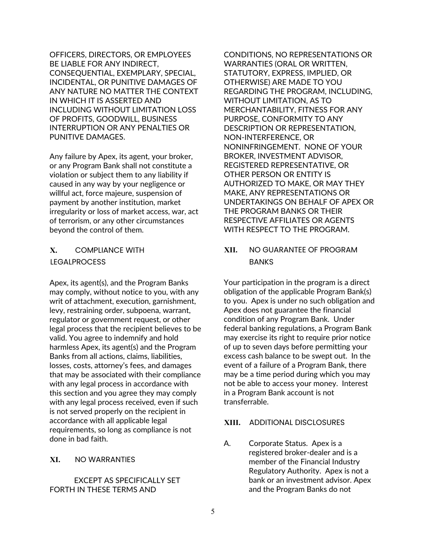OFFICERS, DIRECTORS, OR EMPLOYEES BE LIABLE FOR ANY INDIRECT, CONSEQUENTIAL, EXEMPLARY, SPECIAL, INCIDENTAL, OR PUNITIVE DAMAGES OF ANY NATURE NO MATTER THE CONTEXT IN WHICH IT IS ASSERTED AND INCLUDING WITHOUT LIMITATION LOSS OF PROFITS, GOODWILL, BUSINESS INTERRUPTION OR ANY PENALTIES OR PUNITIVE DAMAGES.

Any failure by Apex, its agent, your broker, or any Program Bank shall not constitute a violation or subject them to any liability if caused in any way by your negligence or willful act, force majeure, suspension of payment by another institution, market irregularity or loss of market access, war, act of terrorism, or any other circumstances beyond the control of them.

# **X.** COMPLIANCE WITH LEGALPROCESS

Apex, its agent(s), and the Program Banks may comply, without notice to you, with any writ of attachment, execution, garnishment, levy, restraining order, subpoena, warrant, regulator or government request, or other legal process that the recipient believes to be valid. You agree to indemnify and hold harmless Apex, its agent(s) and the Program Banks from all actions, claims, liabilities, losses, costs, attorney's fees, and damages that may be associated with their compliance with any legal process in accordance with this section and you agree they may comply with any legal process received, even if such is not served properly on the recipient in accordance with all applicable legal requirements, so long as compliance is not done in bad faith.

## **XI.** NO WARRANTIES

EXCEPT AS SPECIFICALLY SET FORTH IN THESE TERMS AND

CONDITIONS, NO REPRESENTATIONS OR WARRANTIES (ORAL OR WRITTEN, STATUTORY, EXPRESS, IMPLIED, OR OTHERWISE) ARE MADE TO YOU REGARDING THE PROGRAM, INCLUDING, WITHOUT LIMITATION, AS TO MERCHANTABILITY, FITNESS FOR ANY PURPOSE, CONFORMITY TO ANY DESCRIPTION OR REPRESENTATION, NON-INTERFERENCE, OR NONINFRINGEMENT. NONE OF YOUR BROKER, INVESTMENT ADVISOR, REGISTERED REPRESENTATIVE, OR OTHER PERSON OR ENTITY IS AUTHORIZED TO MAKE, OR MAY THEY MAKE, ANY REPRESENTATIONS OR UNDERTAKINGS ON BEHALF OF APEX OR THE PROGRAM BANKS OR THEIR RESPECTIVE AFFILIATES OR AGENTS WITH RESPECT TO THE PROGRAM.

# **XII.** NO GUARANTEE OF PROGRAM **BANKS**

Your participation in the program is a direct obligation of the applicable Program Bank(s) to you. Apex is under no such obligation and Apex does not guarantee the financial condition of any Program Bank. Under federal banking regulations, a Program Bank may exercise its right to require prior notice of up to seven days before permitting your excess cash balance to be swept out. In the event of a failure of a Program Bank, there may be a time period during which you may not be able to access your money. Interest in a Program Bank account is not transferrable.

## **XIII.** ADDITIONAL DISCLOSURES

A. Corporate Status. Apex is a registered broker-dealer and is a member of the Financial Industry Regulatory Authority. Apex is not a bank or an investment advisor. Apex and the Program Banks do not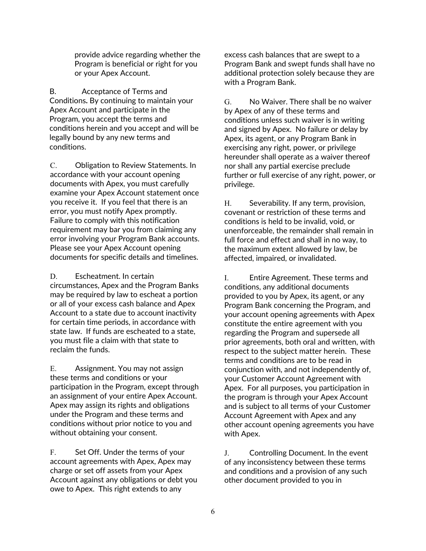provide advice regarding whether the Program is beneficial or right for you or your Apex Account.

B. Acceptance of Terms and Conditions**.** By continuing to maintain your Apex Account and participate in the Program, you accept the terms and conditions herein and you accept and will be legally bound by any new terms and conditions.

C. Obligation to Review Statements. In accordance with your account opening documents with Apex, you must carefully examine your Apex Account statement once you receive it. If you feel that there is an error, you must notify Apex promptly. Failure to comply with this notification requirement may bar you from claiming any error involving your Program Bank accounts. Please see your Apex Account opening documents for specific details and timelines.

D. Escheatment. In certain circumstances, Apex and the Program Banks may be required by law to escheat a portion or all of your excess cash balance and Apex Account to a state due to account inactivity for certain time periods, in accordance with state law. If funds are escheated to a state, you must file a claim with that state to reclaim the funds.

E. Assignment. You may not assign these terms and conditions or your participation in the Program, except through an assignment of your entire Apex Account. Apex may assign its rights and obligations under the Program and these terms and conditions without prior notice to you and without obtaining your consent.

F. Set Off. Under the terms of your account agreements with Apex, Apex may charge or set off assets from your Apex Account against any obligations or debt you owe to Apex. This right extends to any

excess cash balances that are swept to a Program Bank and swept funds shall have no additional protection solely because they are with a Program Bank.

G. No Waiver. There shall be no waiver by Apex of any of these terms and conditions unless such waiver is in writing and signed by Apex. No failure or delay by Apex, its agent, or any Program Bank in exercising any right, power, or privilege hereunder shall operate as a waiver thereof nor shall any partial exercise preclude further or full exercise of any right, power, or privilege.

H. Severability. If any term, provision, covenant or restriction of these terms and conditions is held to be invalid, void, or unenforceable, the remainder shall remain in full force and effect and shall in no way, to the maximum extent allowed by law, be affected, impaired, or invalidated.

I. Entire Agreement. These terms and conditions, any additional documents provided to you by Apex, its agent, or any Program Bank concerning the Program, and your account opening agreements with Apex constitute the entire agreement with you regarding the Program and supersede all prior agreements, both oral and written, with respect to the subject matter herein. These terms and conditions are to be read in conjunction with, and not independently of, your Customer Account Agreement with Apex. For all purposes, you participation in the program is through your Apex Account and is subject to all terms of your Customer Account Agreement with Apex and any other account opening agreements you have with Apex.

J. Controlling Document. In the event of any inconsistency between these terms and conditions and a provision of any such other document provided to you in